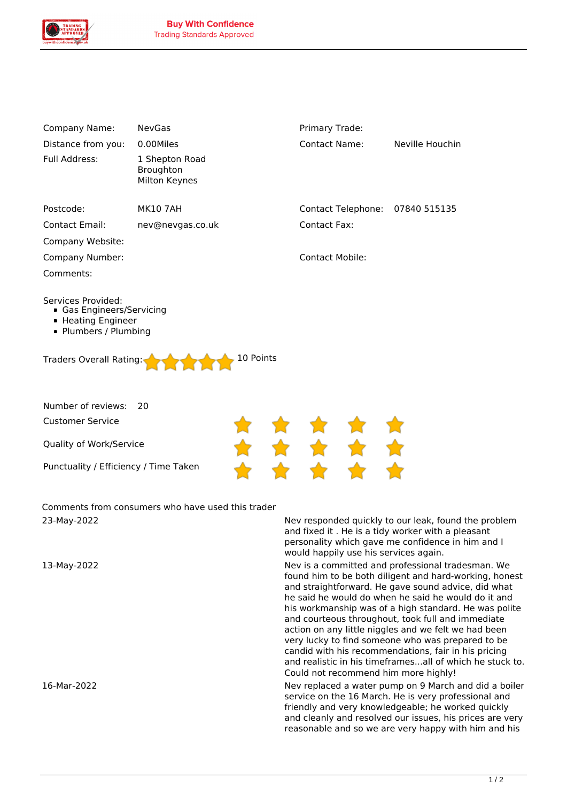

| Company Name:                                                                                                                          | <b>NevGas</b>                                     | Primary Trade:                            |                 |  |
|----------------------------------------------------------------------------------------------------------------------------------------|---------------------------------------------------|-------------------------------------------|-----------------|--|
| Distance from you:                                                                                                                     | 0.00Miles                                         | <b>Contact Name:</b>                      | Neville Houchin |  |
| Full Address:                                                                                                                          | 1 Shepton Road<br>Broughton<br>Milton Keynes      |                                           |                 |  |
| Postcode:                                                                                                                              | <b>MK10 7AH</b>                                   | <b>Contact Telephone:</b>                 | 07840 515135    |  |
| <b>Contact Email:</b>                                                                                                                  | nev@nevgas.co.uk                                  | <b>Contact Fax:</b>                       |                 |  |
| Company Website:                                                                                                                       |                                                   |                                           |                 |  |
| Company Number:                                                                                                                        |                                                   | <b>Contact Mobile:</b>                    |                 |  |
| Comments:                                                                                                                              |                                                   |                                           |                 |  |
| Services Provided:<br>• Gas Engineers/Servicing<br>• Heating Engineer<br>• Plumbers / Plumbing<br>10 Points<br>Traders Overall Rating: |                                                   |                                           |                 |  |
| Number of reviews:                                                                                                                     | 20                                                |                                           |                 |  |
| <b>Customer Service</b>                                                                                                                |                                                   |                                           |                 |  |
| Quality of Work/Service                                                                                                                |                                                   |                                           |                 |  |
| Punctuality / Efficiency / Time Taken                                                                                                  |                                                   |                                           |                 |  |
| ררחר הנגון רר                                                                                                                          | Comments from consumers who have used this trader | Nou repeached quickly to our look found H |                 |  |

*23-May-2022 Nev responded quickly to our leak, found the problem and fixed it . He is a tidy worker with a pleasant personality which gave me confidence in him and I would happily use his services again.*

*13-May-2022 Nev is a committed and professional tradesman. We found him to be both diligent and hard-working, honest and straightforward. He gave sound advice, did what he said he would do when he said he would do it and his workmanship was of a high standard. He was polite and courteous throughout, took full and immediate action on any little niggles and we felt we had been very lucky to find someone who was prepared to be candid with his recommendations, fair in his pricing and realistic in his timeframes...all of which he stuck to. Could not recommend him more highly!*

*16-Mar-2022 Nev replaced a water pump on 9 March and did a boiler service on the 16 March. He is very professional and friendly and very knowledgeable; he worked quickly and cleanly and resolved our issues, his prices are very reasonable and so we are very happy with him and his*